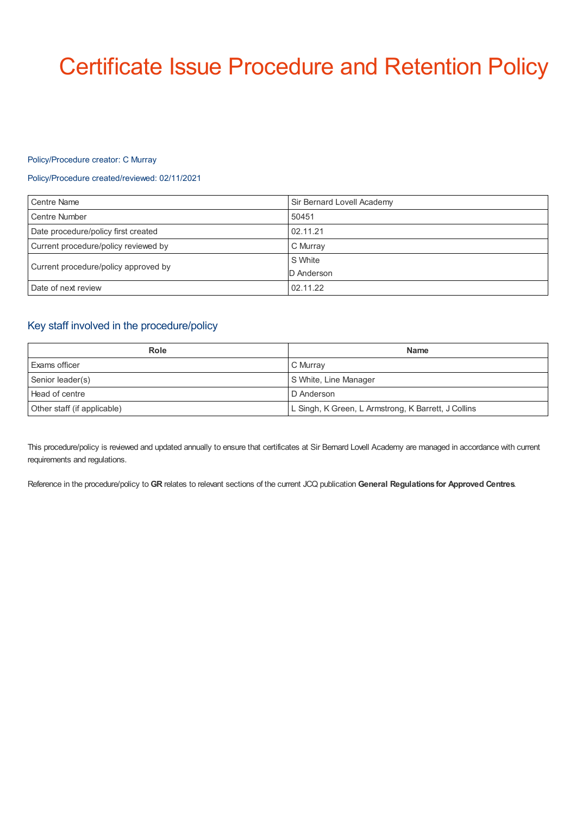# Certificate Issue Procedure and Retention Policy

#### Policy/Procedure creator: C Murray

## Policy/Procedure created/reviewed: 02/11/2021

| <b>Centre Name</b>                   | Sir Bernard Lovell Academy |
|--------------------------------------|----------------------------|
| Centre Number                        | 50451                      |
| Date procedure/policy first created  | 02.11.21                   |
| Current procedure/policy reviewed by | C Murray                   |
| Current procedure/policy approved by | S White                    |
|                                      | D Anderson                 |
| Date of next review                  | 02.11.22                   |

# Key staff involved in the procedure/policy

| Role                        | <b>Name</b>                                         |
|-----------------------------|-----------------------------------------------------|
| Exams officer               | C Murray                                            |
| Senior leader(s)            | S White, Line Manager                               |
| Head of centre              | D Anderson                                          |
| Other staff (if applicable) | L Singh, K Green, L Armstrong, K Barrett, J Collins |

This procedure/policy is reviewed and updated annually to ensure that certificates at Sir Bernard Lovell Academy are managed in accordance with current requirements and regulations.

Reference in the procedure/policy to **GR** relates to relevant sections of the current JCQ publication **General Regulations for Approved Centres**.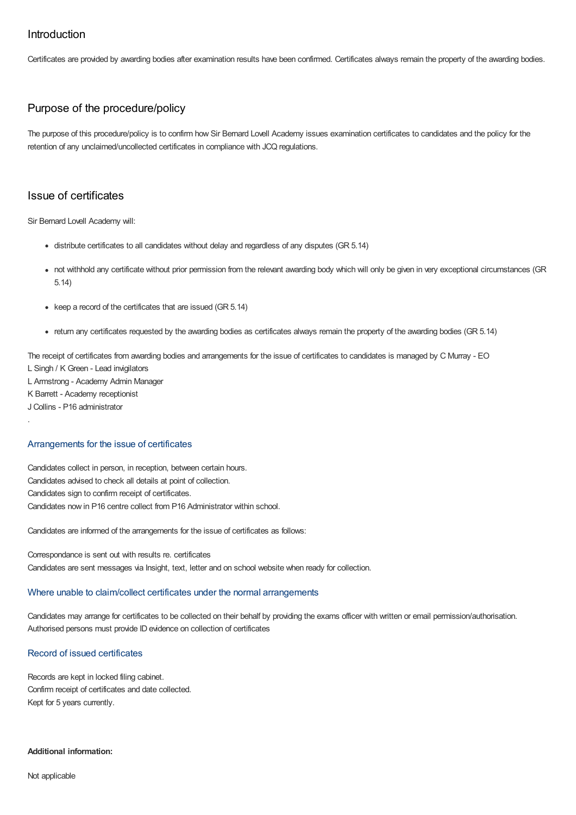## Introduction

Certificates are provided by awarding bodies after examination results have been confirmed. Certificates always remain the property of the awarding bodies.

# Purpose of the procedure/policy

The purpose of this procedure/policy is to confirm how Sir Bernard Lovell Academy issues examination certificates to candidates and the policy for the retention of any unclaimed/uncollected certificates in compliance with JCQ regulations.

## Issue of certificates

Sir Bernard Lovell Academy will:

- distribute certificates to all candidates without delay and regardless of any disputes (GR 5.14)
- not withhold any certificate without prior permission from the relevant awarding body which will only be given in very exceptional circumstances (GR 5.14)
- $\bullet$  keep a record of the certificates that are issued (GR 5.14)
- return any certificates requested by the awarding bodies as certificates always remain the property of the awarding bodies (GR 5.14)

The receipt of certificates from awarding bodies and arrangements for the issue of certificates to candidates is managed by C Murray - EO L Singh / K Green - Lead invigilators

L Armstrong - Academy Admin Manager

K Barrett - Academy receptionist

J Collins - P16 administrator

.

## Arrangements for the issue of certificates

Candidates collect in person, in reception, between certain hours. Candidates advised to check all details at point of collection. Candidates sign to confirm receipt of certificates. Candidates now in P16 centre collect from P16 Administrator within school.

Candidates are informed of the arrangements for the issue of certificates as follows:

Correspondance is sent out with results re. certificates Candidates are sent messages via Insight, text, letter and on school website when ready for collection.

## Where unable to claim/collect certificates under the normal arrangements

Candidates may arrange for certificates to be collected on their behalf by providing the exams officer with written or email permission/authorisation. Authorised persons must provide ID evidence on collection of certificates

## Record of issued certificates

Records are kept in locked filing cabinet. Confirm receipt of certificates and date collected. Kept for 5 years currently.

#### **Additional information:**

Not applicable